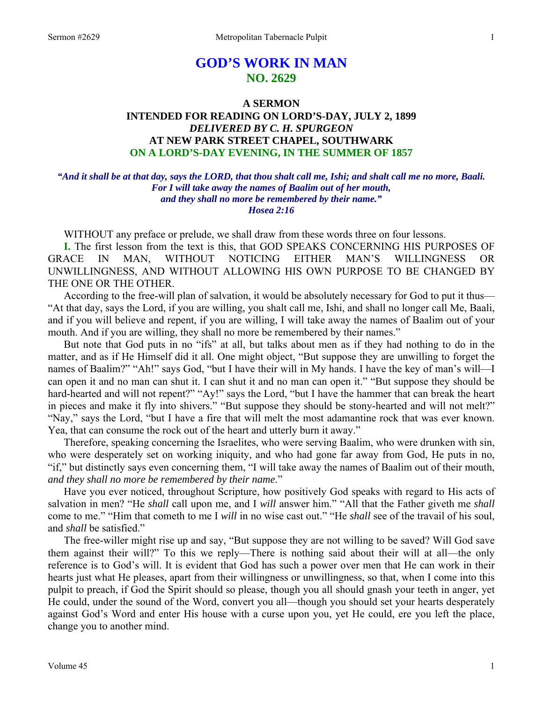# **GOD'S WORK IN MAN NO. 2629**

## **A SERMON INTENDED FOR READING ON LORD'S-DAY, JULY 2, 1899**  *DELIVERED BY C. H. SPURGEON*  **AT NEW PARK STREET CHAPEL, SOUTHWARK ON A LORD'S-DAY EVENING, IN THE SUMMER OF 1857**

*"And it shall be at that day, says the LORD, that thou shalt call me, Ishi; and shalt call me no more, Baali. For I will take away the names of Baalim out of her mouth, and they shall no more be remembered by their name." Hosea 2:16* 

WITHOUT any preface or prelude, we shall draw from these words three on four lessons.

**I.** The first lesson from the text is this, that GOD SPEAKS CONCERNING HIS PURPOSES OF GRACE IN MAN, WITHOUT NOTICING EITHER MAN'S WILLINGNESS OR UNWILLINGNESS, AND WITHOUT ALLOWING HIS OWN PURPOSE TO BE CHANGED BY THE ONE OR THE OTHER.

 According to the free-will plan of salvation, it would be absolutely necessary for God to put it thus— "At that day, says the Lord, if you are willing, you shalt call me, Ishi, and shall no longer call Me, Baali, and if you will believe and repent, if you are willing, I will take away the names of Baalim out of your mouth. And if you are willing, they shall no more be remembered by their names."

 But note that God puts in no "ifs" at all, but talks about men as if they had nothing to do in the matter, and as if He Himself did it all. One might object, "But suppose they are unwilling to forget the names of Baalim?" "Ah!" says God, "but I have their will in My hands. I have the key of man's will—I can open it and no man can shut it. I can shut it and no man can open it." "But suppose they should be hard-hearted and will not repent?" "Ay!" says the Lord, "but I have the hammer that can break the heart in pieces and make it fly into shivers." "But suppose they should be stony-hearted and will not melt?" "Nay," says the Lord, "but I have a fire that will melt the most adamantine rock that was ever known. Yea, that can consume the rock out of the heart and utterly burn it away."

 Therefore, speaking concerning the Israelites, who were serving Baalim, who were drunken with sin, who were desperately set on working iniquity, and who had gone far away from God, He puts in no, "if," but distinctly says even concerning them, "I will take away the names of Baalim out of their mouth, *and they shall no more be remembered by their name*."

 Have you ever noticed, throughout Scripture, how positively God speaks with regard to His acts of salvation in men? "He *shall* call upon me, and I *will* answer him." "All that the Father giveth me *shall* come to me." "Him that cometh to me I *will* in no wise cast out." "He *shall* see of the travail of his soul, and *shall* be satisfied."

 The free-willer might rise up and say, "But suppose they are not willing to be saved? Will God save them against their will?" To this we reply—There is nothing said about their will at all—the only reference is to God's will. It is evident that God has such a power over men that He can work in their hearts just what He pleases, apart from their willingness or unwillingness, so that, when I come into this pulpit to preach, if God the Spirit should so please, though you all should gnash your teeth in anger, yet He could, under the sound of the Word, convert you all—though you should set your hearts desperately against God's Word and enter His house with a curse upon you, yet He could, ere you left the place, change you to another mind.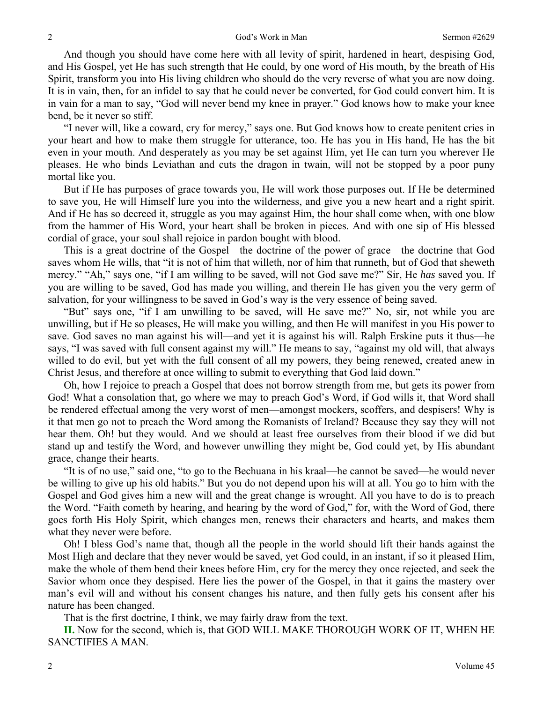And though you should have come here with all levity of spirit, hardened in heart, despising God, and His Gospel, yet He has such strength that He could, by one word of His mouth, by the breath of His Spirit, transform you into His living children who should do the very reverse of what you are now doing. It is in vain, then, for an infidel to say that he could never be converted, for God could convert him. It is in vain for a man to say, "God will never bend my knee in prayer." God knows how to make your knee bend, be it never so stiff.

 "I never will, like a coward, cry for mercy," says one. But God knows how to create penitent cries in your heart and how to make them struggle for utterance, too. He has you in His hand, He has the bit even in your mouth. And desperately as you may be set against Him, yet He can turn you wherever He pleases. He who binds Leviathan and cuts the dragon in twain, will not be stopped by a poor puny mortal like you.

 But if He has purposes of grace towards you, He will work those purposes out. If He be determined to save you, He will Himself lure you into the wilderness, and give you a new heart and a right spirit. And if He has so decreed it, struggle as you may against Him, the hour shall come when, with one blow from the hammer of His Word, your heart shall be broken in pieces. And with one sip of His blessed cordial of grace, your soul shall rejoice in pardon bought with blood.

 This is a great doctrine of the Gospel—the doctrine of the power of grace—the doctrine that God saves whom He wills, that "it is not of him that willeth, nor of him that runneth, but of God that sheweth mercy." "Ah," says one, "if I am willing to be saved, will not God save me?" Sir, He *has* saved you. If you are willing to be saved, God has made you willing, and therein He has given you the very germ of salvation, for your willingness to be saved in God's way is the very essence of being saved.

 "But" says one, "if I am unwilling to be saved, will He save me?" No, sir, not while you are unwilling, but if He so pleases, He will make you willing, and then He will manifest in you His power to save. God saves no man against his will—and yet it is against his will. Ralph Erskine puts it thus—he says, "I was saved with full consent against my will." He means to say, "against my old will, that always willed to do evil, but yet with the full consent of all my powers, they being renewed, created anew in Christ Jesus, and therefore at once willing to submit to everything that God laid down."

 Oh, how I rejoice to preach a Gospel that does not borrow strength from me, but gets its power from God! What a consolation that, go where we may to preach God's Word, if God wills it, that Word shall be rendered effectual among the very worst of men—amongst mockers, scoffers, and despisers! Why is it that men go not to preach the Word among the Romanists of Ireland? Because they say they will not hear them. Oh! but they would. And we should at least free ourselves from their blood if we did but stand up and testify the Word, and however unwilling they might be, God could yet, by His abundant grace, change their hearts.

 "It is of no use," said one, "to go to the Bechuana in his kraal—he cannot be saved—he would never be willing to give up his old habits." But you do not depend upon his will at all. You go to him with the Gospel and God gives him a new will and the great change is wrought. All you have to do is to preach the Word. "Faith cometh by hearing, and hearing by the word of God," for, with the Word of God, there goes forth His Holy Spirit, which changes men, renews their characters and hearts, and makes them what they never were before.

 Oh! I bless God's name that, though all the people in the world should lift their hands against the Most High and declare that they never would be saved, yet God could, in an instant, if so it pleased Him, make the whole of them bend their knees before Him, cry for the mercy they once rejected, and seek the Savior whom once they despised. Here lies the power of the Gospel, in that it gains the mastery over man's evil will and without his consent changes his nature, and then fully gets his consent after his nature has been changed.

That is the first doctrine, I think, we may fairly draw from the text.

**II.** Now for the second, which is, that GOD WILL MAKE THOROUGH WORK OF IT, WHEN HE SANCTIFIES A MAN.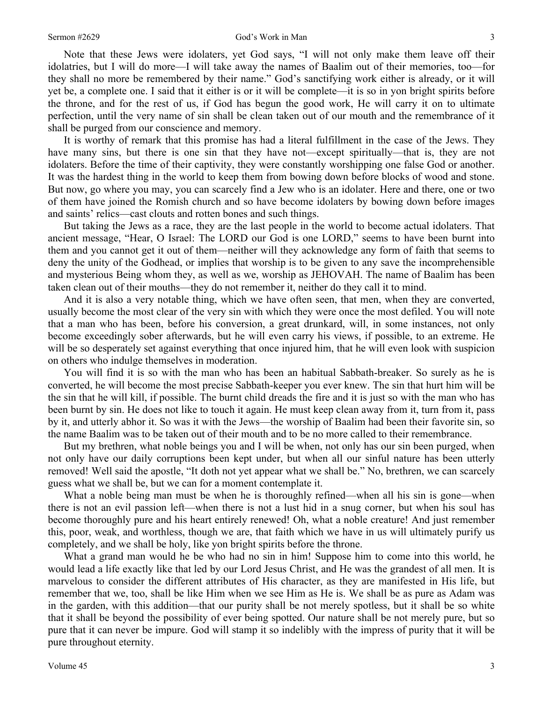Note that these Jews were idolaters, yet God says, "I will not only make them leave off their idolatries, but I will do more—I will take away the names of Baalim out of their memories, too—for they shall no more be remembered by their name." God's sanctifying work either is already, or it will yet be, a complete one. I said that it either is or it will be complete—it is so in yon bright spirits before the throne, and for the rest of us, if God has begun the good work, He will carry it on to ultimate perfection, until the very name of sin shall be clean taken out of our mouth and the remembrance of it shall be purged from our conscience and memory.

 It is worthy of remark that this promise has had a literal fulfillment in the case of the Jews. They have many sins, but there is one sin that they have not—except spiritually—that is, they are not idolaters. Before the time of their captivity, they were constantly worshipping one false God or another. It was the hardest thing in the world to keep them from bowing down before blocks of wood and stone. But now, go where you may, you can scarcely find a Jew who is an idolater. Here and there, one or two of them have joined the Romish church and so have become idolaters by bowing down before images and saints' relics—cast clouts and rotten bones and such things.

 But taking the Jews as a race, they are the last people in the world to become actual idolaters. That ancient message, "Hear, O Israel: The LORD our God is one LORD," seems to have been burnt into them and you cannot get it out of them—neither will they acknowledge any form of faith that seems to deny the unity of the Godhead, or implies that worship is to be given to any save the incomprehensible and mysterious Being whom they, as well as we, worship as JEHOVAH. The name of Baalim has been taken clean out of their mouths—they do not remember it, neither do they call it to mind.

 And it is also a very notable thing, which we have often seen, that men, when they are converted, usually become the most clear of the very sin with which they were once the most defiled. You will note that a man who has been, before his conversion, a great drunkard, will, in some instances, not only become exceedingly sober afterwards, but he will even carry his views, if possible, to an extreme. He will be so desperately set against everything that once injured him, that he will even look with suspicion on others who indulge themselves in moderation.

 You will find it is so with the man who has been an habitual Sabbath-breaker. So surely as he is converted, he will become the most precise Sabbath-keeper you ever knew. The sin that hurt him will be the sin that he will kill, if possible. The burnt child dreads the fire and it is just so with the man who has been burnt by sin. He does not like to touch it again. He must keep clean away from it, turn from it, pass by it, and utterly abhor it. So was it with the Jews—the worship of Baalim had been their favorite sin, so the name Baalim was to be taken out of their mouth and to be no more called to their remembrance.

 But my brethren, what noble beings you and I will be when, not only has our sin been purged, when not only have our daily corruptions been kept under, but when all our sinful nature has been utterly removed! Well said the apostle, "It doth not yet appear what we shall be." No, brethren, we can scarcely guess what we shall be, but we can for a moment contemplate it.

What a noble being man must be when he is thoroughly refined—when all his sin is gone—when there is not an evil passion left—when there is not a lust hid in a snug corner, but when his soul has become thoroughly pure and his heart entirely renewed! Oh, what a noble creature! And just remember this, poor, weak, and worthless, though we are, that faith which we have in us will ultimately purify us completely, and we shall be holy, like yon bright spirits before the throne.

 What a grand man would he be who had no sin in him! Suppose him to come into this world, he would lead a life exactly like that led by our Lord Jesus Christ, and He was the grandest of all men. It is marvelous to consider the different attributes of His character, as they are manifested in His life, but remember that we, too, shall be like Him when we see Him as He is. We shall be as pure as Adam was in the garden, with this addition—that our purity shall be not merely spotless, but it shall be so white that it shall be beyond the possibility of ever being spotted. Our nature shall be not merely pure, but so pure that it can never be impure. God will stamp it so indelibly with the impress of purity that it will be pure throughout eternity.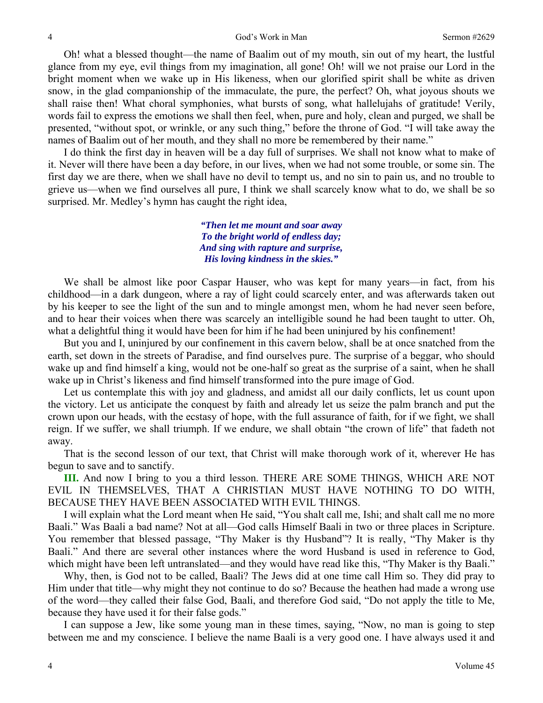Oh! what a blessed thought—the name of Baalim out of my mouth, sin out of my heart, the lustful glance from my eye, evil things from my imagination, all gone! Oh! will we not praise our Lord in the bright moment when we wake up in His likeness, when our glorified spirit shall be white as driven snow, in the glad companionship of the immaculate, the pure, the perfect? Oh, what joyous shouts we shall raise then! What choral symphonies, what bursts of song, what hallelujahs of gratitude! Verily, words fail to express the emotions we shall then feel, when, pure and holy, clean and purged, we shall be presented, "without spot, or wrinkle, or any such thing," before the throne of God. "I will take away the names of Baalim out of her mouth, and they shall no more be remembered by their name."

 I do think the first day in heaven will be a day full of surprises. We shall not know what to make of it. Never will there have been a day before, in our lives, when we had not some trouble, or some sin. The first day we are there, when we shall have no devil to tempt us, and no sin to pain us, and no trouble to grieve us—when we find ourselves all pure, I think we shall scarcely know what to do, we shall be so surprised. Mr. Medley's hymn has caught the right idea,

> *"Then let me mount and soar away To the bright world of endless day; And sing with rapture and surprise, His loving kindness in the skies."*

We shall be almost like poor Caspar Hauser, who was kept for many years—in fact, from his childhood—in a dark dungeon, where a ray of light could scarcely enter, and was afterwards taken out by his keeper to see the light of the sun and to mingle amongst men, whom he had never seen before, and to hear their voices when there was scarcely an intelligible sound he had been taught to utter. Oh, what a delightful thing it would have been for him if he had been uninjured by his confinement!

 But you and I, uninjured by our confinement in this cavern below, shall be at once snatched from the earth, set down in the streets of Paradise, and find ourselves pure. The surprise of a beggar, who should wake up and find himself a king, would not be one-half so great as the surprise of a saint, when he shall wake up in Christ's likeness and find himself transformed into the pure image of God.

 Let us contemplate this with joy and gladness, and amidst all our daily conflicts, let us count upon the victory. Let us anticipate the conquest by faith and already let us seize the palm branch and put the crown upon our heads, with the ecstasy of hope, with the full assurance of faith, for if we fight, we shall reign. If we suffer, we shall triumph. If we endure, we shall obtain "the crown of life" that fadeth not away.

 That is the second lesson of our text, that Christ will make thorough work of it, wherever He has begun to save and to sanctify.

**III.** And now I bring to you a third lesson. THERE ARE SOME THINGS, WHICH ARE NOT EVIL IN THEMSELVES, THAT A CHRISTIAN MUST HAVE NOTHING TO DO WITH, BECAUSE THEY HAVE BEEN ASSOCIATED WITH EVIL THINGS.

 I will explain what the Lord meant when He said, "You shalt call me, Ishi; and shalt call me no more Baali." Was Baali a bad name? Not at all—God calls Himself Baali in two or three places in Scripture. You remember that blessed passage, "Thy Maker is thy Husband"? It is really, "Thy Maker is thy Baali." And there are several other instances where the word Husband is used in reference to God, which might have been left untranslated—and they would have read like this, "Thy Maker is thy Baali."

 Why, then, is God not to be called, Baali? The Jews did at one time call Him so. They did pray to Him under that title—why might they not continue to do so? Because the heathen had made a wrong use of the word—they called their false God, Baali, and therefore God said, "Do not apply the title to Me, because they have used it for their false gods."

 I can suppose a Jew, like some young man in these times, saying, "Now, no man is going to step between me and my conscience. I believe the name Baali is a very good one. I have always used it and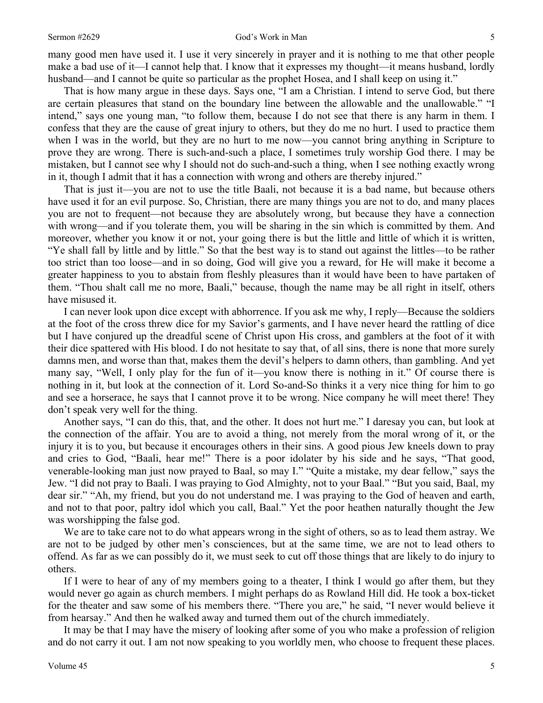many good men have used it. I use it very sincerely in prayer and it is nothing to me that other people make a bad use of it—I cannot help that. I know that it expresses my thought—it means husband, lordly husband—and I cannot be quite so particular as the prophet Hosea, and I shall keep on using it."

 That is how many argue in these days. Says one, "I am a Christian. I intend to serve God, but there are certain pleasures that stand on the boundary line between the allowable and the unallowable." "I intend," says one young man, "to follow them, because I do not see that there is any harm in them. I confess that they are the cause of great injury to others, but they do me no hurt. I used to practice them when I was in the world, but they are no hurt to me now—you cannot bring anything in Scripture to prove they are wrong. There is such-and-such a place, I sometimes truly worship God there. I may be mistaken, but I cannot see why I should not do such-and-such a thing, when I see nothing exactly wrong in it, though I admit that it has a connection with wrong and others are thereby injured."

 That is just it—you are not to use the title Baali, not because it is a bad name, but because others have used it for an evil purpose. So, Christian, there are many things you are not to do, and many places you are not to frequent—not because they are absolutely wrong, but because they have a connection with wrong—and if you tolerate them, you will be sharing in the sin which is committed by them. And moreover, whether you know it or not, your going there is but the little and little of which it is written, "Ye shall fall by little and by little." So that the best way is to stand out against the littles—to be rather too strict than too loose—and in so doing, God will give you a reward, for He will make it become a greater happiness to you to abstain from fleshly pleasures than it would have been to have partaken of them. "Thou shalt call me no more, Baali," because, though the name may be all right in itself, others have misused it.

 I can never look upon dice except with abhorrence. If you ask me why, I reply—Because the soldiers at the foot of the cross threw dice for my Savior's garments, and I have never heard the rattling of dice but I have conjured up the dreadful scene of Christ upon His cross, and gamblers at the foot of it with their dice spattered with His blood. I do not hesitate to say that, of all sins, there is none that more surely damns men, and worse than that, makes them the devil's helpers to damn others, than gambling. And yet many say, "Well, I only play for the fun of it—you know there is nothing in it." Of course there is nothing in it, but look at the connection of it. Lord So-and-So thinks it a very nice thing for him to go and see a horserace, he says that I cannot prove it to be wrong. Nice company he will meet there! They don't speak very well for the thing.

 Another says, "I can do this, that, and the other. It does not hurt me." I daresay you can, but look at the connection of the affair. You are to avoid a thing, not merely from the moral wrong of it, or the injury it is to you, but because it encourages others in their sins. A good pious Jew kneels down to pray and cries to God, "Baali, hear me!" There is a poor idolater by his side and he says, "That good, venerable-looking man just now prayed to Baal, so may I." "Quite a mistake, my dear fellow," says the Jew. "I did not pray to Baali. I was praying to God Almighty, not to your Baal." "But you said, Baal, my dear sir." "Ah, my friend, but you do not understand me. I was praying to the God of heaven and earth, and not to that poor, paltry idol which you call, Baal." Yet the poor heathen naturally thought the Jew was worshipping the false god.

 We are to take care not to do what appears wrong in the sight of others, so as to lead them astray. We are not to be judged by other men's consciences, but at the same time, we are not to lead others to offend. As far as we can possibly do it, we must seek to cut off those things that are likely to do injury to others.

 If I were to hear of any of my members going to a theater, I think I would go after them, but they would never go again as church members. I might perhaps do as Rowland Hill did. He took a box-ticket for the theater and saw some of his members there. "There you are," he said, "I never would believe it from hearsay." And then he walked away and turned them out of the church immediately.

 It may be that I may have the misery of looking after some of you who make a profession of religion and do not carry it out. I am not now speaking to you worldly men, who choose to frequent these places.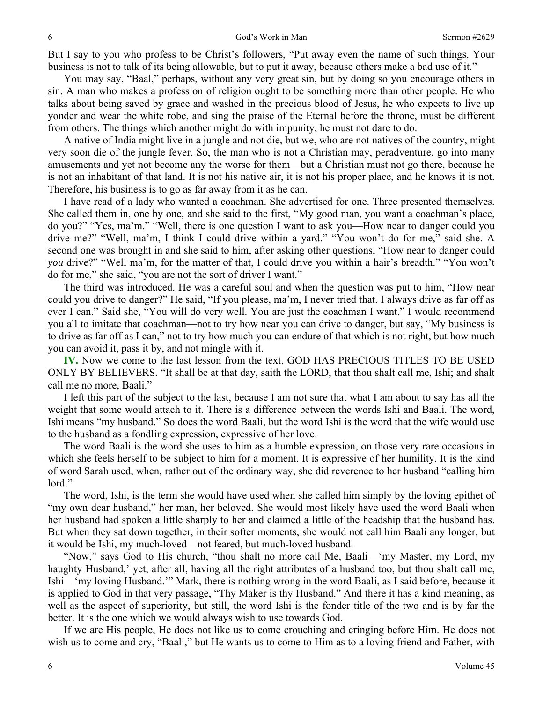But I say to you who profess to be Christ's followers, "Put away even the name of such things. Your business is not to talk of its being allowable, but to put it away, because others make a bad use of it."

 You may say, "Baal," perhaps, without any very great sin, but by doing so you encourage others in sin. A man who makes a profession of religion ought to be something more than other people. He who talks about being saved by grace and washed in the precious blood of Jesus, he who expects to live up yonder and wear the white robe, and sing the praise of the Eternal before the throne, must be different from others. The things which another might do with impunity, he must not dare to do.

 A native of India might live in a jungle and not die, but we, who are not natives of the country, might very soon die of the jungle fever. So, the man who is not a Christian may, peradventure, go into many amusements and yet not become any the worse for them—but a Christian must not go there, because he is not an inhabitant of that land. It is not his native air, it is not his proper place, and he knows it is not. Therefore, his business is to go as far away from it as he can.

 I have read of a lady who wanted a coachman. She advertised for one. Three presented themselves. She called them in, one by one, and she said to the first, "My good man, you want a coachman's place, do you?" "Yes, ma'm." "Well, there is one question I want to ask you—How near to danger could you drive me?" "Well, ma'm, I think I could drive within a yard." "You won't do for me," said she. A second one was brought in and she said to him, after asking other questions, "How near to danger could *you* drive?" "Well ma'm, for the matter of that, I could drive you within a hair's breadth." "You won't do for me," she said, "you are not the sort of driver I want."

 The third was introduced. He was a careful soul and when the question was put to him, "How near could you drive to danger?" He said, "If you please, ma'm, I never tried that. I always drive as far off as ever I can." Said she, "You will do very well. You are just the coachman I want." I would recommend you all to imitate that coachman—not to try how near you can drive to danger, but say, "My business is to drive as far off as I can," not to try how much you can endure of that which is not right, but how much you can avoid it, pass it by, and not mingle with it.

**IV.** Now we come to the last lesson from the text. GOD HAS PRECIOUS TITLES TO BE USED ONLY BY BELIEVERS. "It shall be at that day, saith the LORD, that thou shalt call me, Ishi; and shalt call me no more, Baali."

 I left this part of the subject to the last, because I am not sure that what I am about to say has all the weight that some would attach to it. There is a difference between the words Ishi and Baali. The word, Ishi means "my husband." So does the word Baali, but the word Ishi is the word that the wife would use to the husband as a fondling expression, expressive of her love.

 The word Baali is the word she uses to him as a humble expression, on those very rare occasions in which she feels herself to be subject to him for a moment. It is expressive of her humility. It is the kind of word Sarah used, when, rather out of the ordinary way, she did reverence to her husband "calling him lord."

 The word, Ishi, is the term she would have used when she called him simply by the loving epithet of "my own dear husband," her man, her beloved. She would most likely have used the word Baali when her husband had spoken a little sharply to her and claimed a little of the headship that the husband has. But when they sat down together, in their softer moments, she would not call him Baali any longer, but it would be Ishi, my much-loved—not feared, but much-loved husband.

 "Now," says God to His church, "thou shalt no more call Me, Baali—'my Master, my Lord, my haughty Husband,' yet, after all, having all the right attributes of a husband too, but thou shalt call me, Ishi—'my loving Husband.'" Mark, there is nothing wrong in the word Baali, as I said before, because it is applied to God in that very passage, "Thy Maker is thy Husband." And there it has a kind meaning, as well as the aspect of superiority, but still, the word Ishi is the fonder title of the two and is by far the better. It is the one which we would always wish to use towards God.

 If we are His people, He does not like us to come crouching and cringing before Him. He does not wish us to come and cry, "Baali," but He wants us to come to Him as to a loving friend and Father, with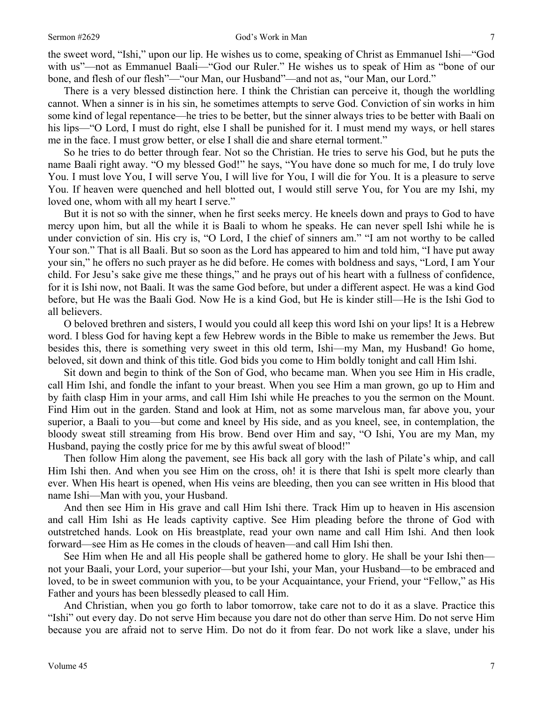the sweet word, "Ishi," upon our lip. He wishes us to come, speaking of Christ as Emmanuel Ishi—"God with us"—not as Emmanuel Baali—"God our Ruler." He wishes us to speak of Him as "bone of our bone, and flesh of our flesh"—"our Man, our Husband"—and not as, "our Man, our Lord."

 There is a very blessed distinction here. I think the Christian can perceive it, though the worldling cannot. When a sinner is in his sin, he sometimes attempts to serve God. Conviction of sin works in him some kind of legal repentance—he tries to be better, but the sinner always tries to be better with Baali on his lips—"O Lord, I must do right, else I shall be punished for it. I must mend my ways, or hell stares me in the face. I must grow better, or else I shall die and share eternal torment."

 So he tries to do better through fear. Not so the Christian. He tries to serve his God, but he puts the name Baali right away. "O my blessed God!" he says, "You have done so much for me, I do truly love You. I must love You, I will serve You, I will live for You, I will die for You. It is a pleasure to serve You. If heaven were quenched and hell blotted out, I would still serve You, for You are my Ishi, my loved one, whom with all my heart I serve."

 But it is not so with the sinner, when he first seeks mercy. He kneels down and prays to God to have mercy upon him, but all the while it is Baali to whom he speaks. He can never spell Ishi while he is under conviction of sin. His cry is, "O Lord, I the chief of sinners am." "I am not worthy to be called Your son." That is all Baali. But so soon as the Lord has appeared to him and told him, "I have put away your sin," he offers no such prayer as he did before. He comes with boldness and says, "Lord, I am Your child. For Jesu's sake give me these things," and he prays out of his heart with a fullness of confidence, for it is Ishi now, not Baali. It was the same God before, but under a different aspect. He was a kind God before, but He was the Baali God. Now He is a kind God, but He is kinder still—He is the Ishi God to all believers.

 O beloved brethren and sisters, I would you could all keep this word Ishi on your lips! It is a Hebrew word. I bless God for having kept a few Hebrew words in the Bible to make us remember the Jews. But besides this, there is something very sweet in this old term, Ishi—my Man, my Husband! Go home, beloved, sit down and think of this title. God bids you come to Him boldly tonight and call Him Ishi.

 Sit down and begin to think of the Son of God, who became man. When you see Him in His cradle, call Him Ishi, and fondle the infant to your breast. When you see Him a man grown, go up to Him and by faith clasp Him in your arms, and call Him Ishi while He preaches to you the sermon on the Mount. Find Him out in the garden. Stand and look at Him, not as some marvelous man, far above you, your superior, a Baali to you—but come and kneel by His side, and as you kneel, see, in contemplation, the bloody sweat still streaming from His brow. Bend over Him and say, "O Ishi, You are my Man, my Husband, paying the costly price for me by this awful sweat of blood!"

 Then follow Him along the pavement, see His back all gory with the lash of Pilate's whip, and call Him Ishi then. And when you see Him on the cross, oh! it is there that Ishi is spelt more clearly than ever. When His heart is opened, when His veins are bleeding, then you can see written in His blood that name Ishi—Man with you, your Husband.

 And then see Him in His grave and call Him Ishi there. Track Him up to heaven in His ascension and call Him Ishi as He leads captivity captive. See Him pleading before the throne of God with outstretched hands. Look on His breastplate, read your own name and call Him Ishi. And then look forward—see Him as He comes in the clouds of heaven—and call Him Ishi then.

 See Him when He and all His people shall be gathered home to glory. He shall be your Ishi then not your Baali, your Lord, your superior—but your Ishi, your Man, your Husband—to be embraced and loved, to be in sweet communion with you, to be your Acquaintance, your Friend, your "Fellow," as His Father and yours has been blessedly pleased to call Him.

 And Christian, when you go forth to labor tomorrow, take care not to do it as a slave. Practice this "Ishi" out every day. Do not serve Him because you dare not do other than serve Him. Do not serve Him because you are afraid not to serve Him. Do not do it from fear. Do not work like a slave, under his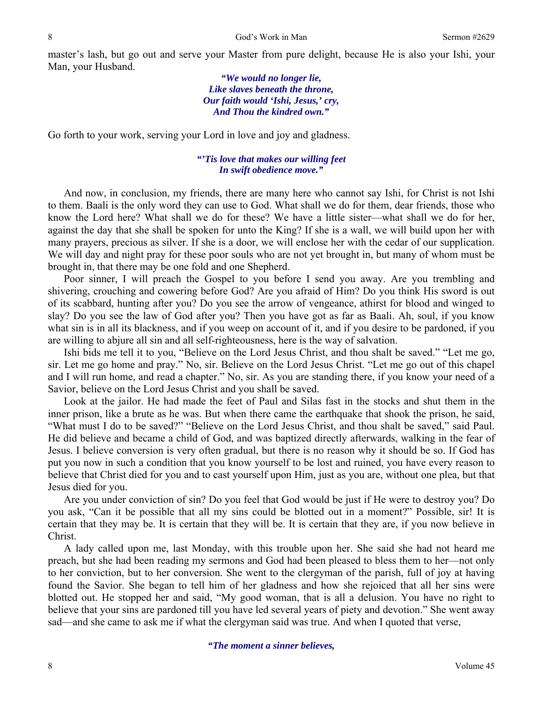master's lash, but go out and serve your Master from pure delight, because He is also your Ishi, your Man, your Husband.

> *"We would no longer lie, Like slaves beneath the throne, Our faith would 'Ishi, Jesus,' cry, And Thou the kindred own."*

Go forth to your work, serving your Lord in love and joy and gladness.

### *"'Tis love that makes our willing feet In swift obedience move."*

And now, in conclusion, my friends, there are many here who cannot say Ishi, for Christ is not Ishi to them. Baali is the only word they can use to God. What shall we do for them, dear friends, those who know the Lord here? What shall we do for these? We have a little sister—what shall we do for her, against the day that she shall be spoken for unto the King? If she is a wall, we will build upon her with many prayers, precious as silver. If she is a door, we will enclose her with the cedar of our supplication. We will day and night pray for these poor souls who are not yet brought in, but many of whom must be brought in, that there may be one fold and one Shepherd.

 Poor sinner, I will preach the Gospel to you before I send you away. Are you trembling and shivering, crouching and cowering before God? Are you afraid of Him? Do you think His sword is out of its scabbard, hunting after you? Do you see the arrow of vengeance, athirst for blood and winged to slay? Do you see the law of God after you? Then you have got as far as Baali. Ah, soul, if you know what sin is in all its blackness, and if you weep on account of it, and if you desire to be pardoned, if you are willing to abjure all sin and all self-righteousness, here is the way of salvation.

 Ishi bids me tell it to you, "Believe on the Lord Jesus Christ, and thou shalt be saved." "Let me go, sir. Let me go home and pray." No, sir. Believe on the Lord Jesus Christ. "Let me go out of this chapel and I will run home, and read a chapter." No, sir. As you are standing there, if you know your need of a Savior, believe on the Lord Jesus Christ and you shall be saved.

 Look at the jailor. He had made the feet of Paul and Silas fast in the stocks and shut them in the inner prison, like a brute as he was. But when there came the earthquake that shook the prison, he said, "What must I do to be saved?" "Believe on the Lord Jesus Christ, and thou shalt be saved," said Paul. He did believe and became a child of God, and was baptized directly afterwards, walking in the fear of Jesus. I believe conversion is very often gradual, but there is no reason why it should be so. If God has put you now in such a condition that you know yourself to be lost and ruined, you have every reason to believe that Christ died for you and to cast yourself upon Him, just as you are, without one plea, but that Jesus died for you.

 Are you under conviction of sin? Do you feel that God would be just if He were to destroy you? Do you ask, "Can it be possible that all my sins could be blotted out in a moment?" Possible, sir! It is certain that they may be. It is certain that they will be. It is certain that they are, if you now believe in Christ.

 A lady called upon me, last Monday, with this trouble upon her. She said she had not heard me preach, but she had been reading my sermons and God had been pleased to bless them to her—not only to her conviction, but to her conversion. She went to the clergyman of the parish, full of joy at having found the Savior. She began to tell him of her gladness and how she rejoiced that all her sins were blotted out. He stopped her and said, "My good woman, that is all a delusion. You have no right to believe that your sins are pardoned till you have led several years of piety and devotion." She went away sad—and she came to ask me if what the clergyman said was true. And when I quoted that verse,

*"The moment a sinner believes,*